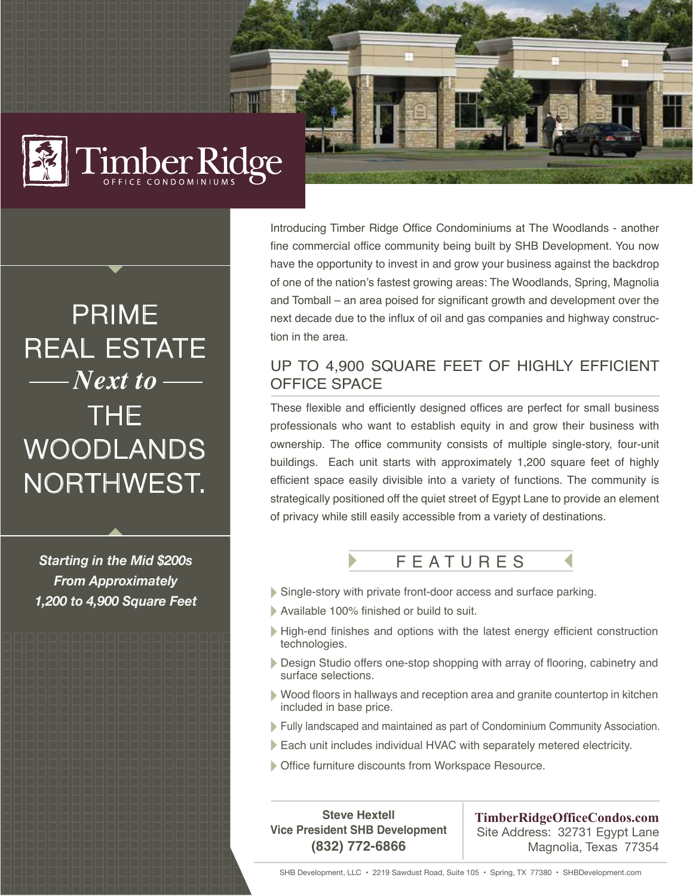

## PRIME REAL ESTATE THE WOODLANDS NORTHWEST. *Next to*

*Starting in the Mid \$200s From Approximately 1,200 to 4,900 Square Feet* Introducing Timber Ridge Office Condominiums at The Woodlands - another fine commercial office community being built by SHB Development. You now have the opportunity to invest in and grow your business against the backdrop of one of the nation's fastest growing areas: The Woodlands, Spring, Magnolia and Tomball – an area poised for significant growth and development over the next decade due to the influx of oil and gas companies and highway construction in the area.

## UP TO 4,900 SQUARE FEET OF HIGHLY EFFICIENT OFFICE SPACE

These flexible and efficiently designed offices are perfect for small business professionals who want to establish equity in and grow their business with ownership. The office community consists of multiple single-story, four-unit buildings. Each unit starts with approximately 1,200 square feet of highly efficient space easily divisible into a variety of functions. The community is strategically positioned off the quiet street of Egypt Lane to provide an element of privacy while still easily accessible from a variety of destinations.



- Single-story with private front-door access and surface parking.
- Available 100% finished or build to suit.
- High-end finishes and options with the latest energy efficient construction technologies.
- Design Studio offers one-stop shopping with array of flooring, cabinetry and surface selections.
- Wood floors in hallways and reception area and granite countertop in kitchen included in base price.
- Fully landscaped and maintained as part of Condominium Community Association.
- Each unit includes individual HVAC with separately metered electricity.
- Office furniture discounts from Workspace Resource.

**Steve Hextell Vice President SHB Development (832) 772-6866**

**TimberRidgeOfficeCondos.com** Site Address: 32731 Egypt Lane Magnolia, Texas 77354

SHB Development, LLC • 2219 Sawdust Road, Suite 105 • Spring, TX 77380 • SHBDevelopment.com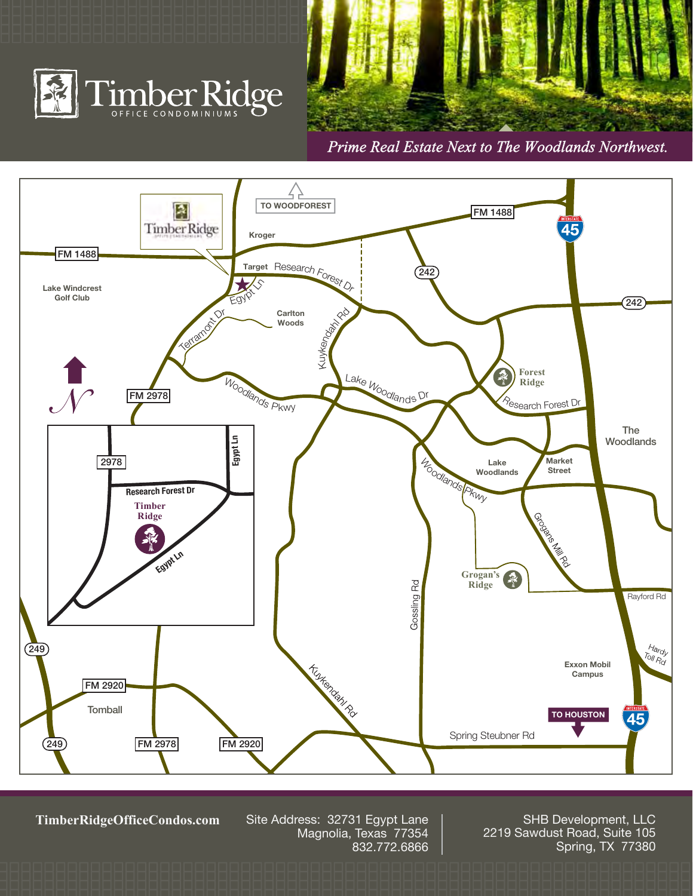





**TimberRidgeOfficeCondos.com**

Site Address: 32731 Egypt Lane Magnolia, Texas 77354 832.772.6866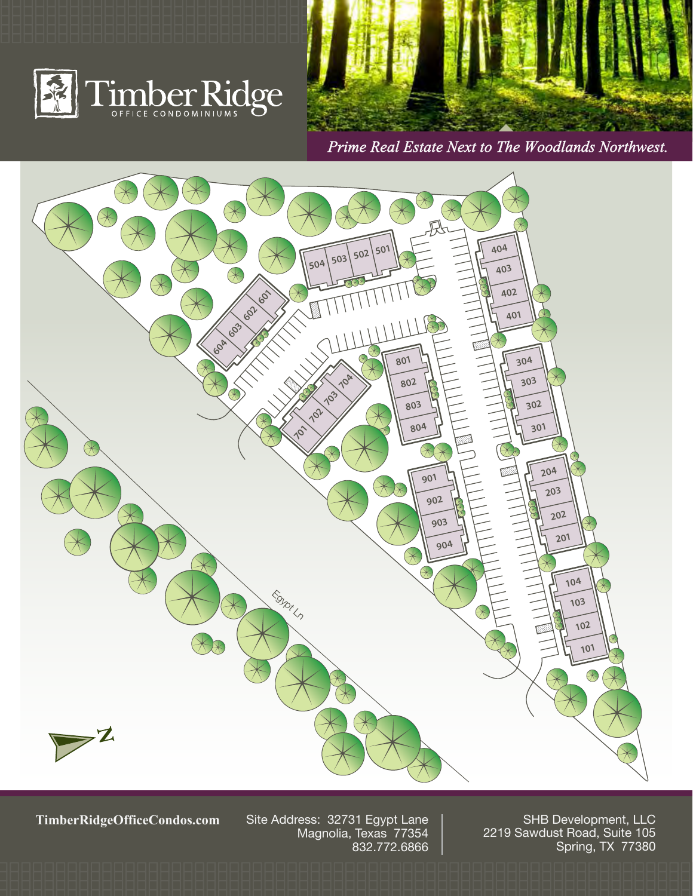





**TimberRidgeOfficeCondos.com**

Site Address: 32731 Egypt Lane Magnolia, Texas 77354 832.772.6866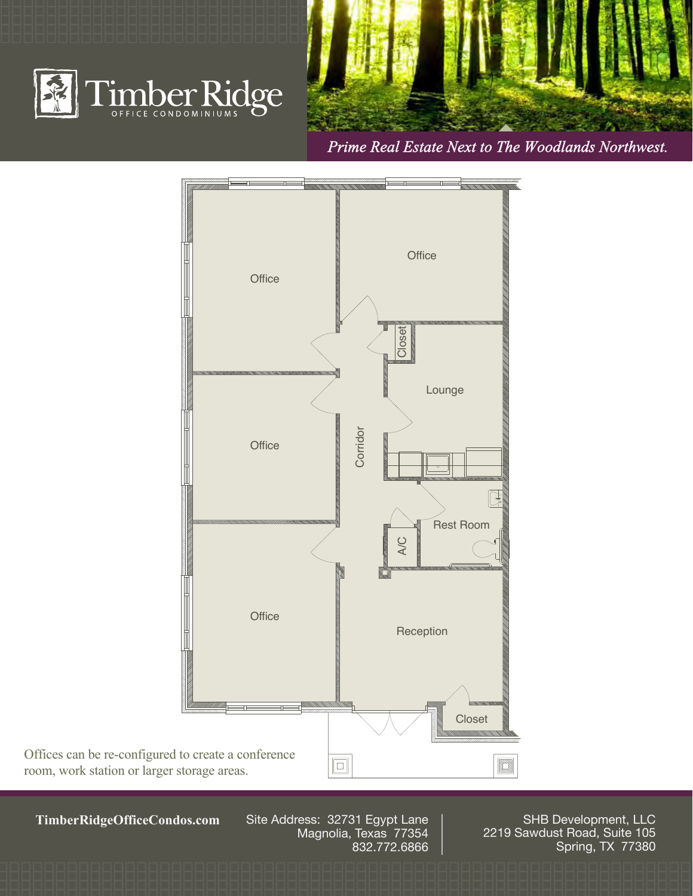





**TimberRidgeOfficeCondos.com**

Site Address: 32731 Egypt Lane Magnolia, Texas 77354 832.772.6866